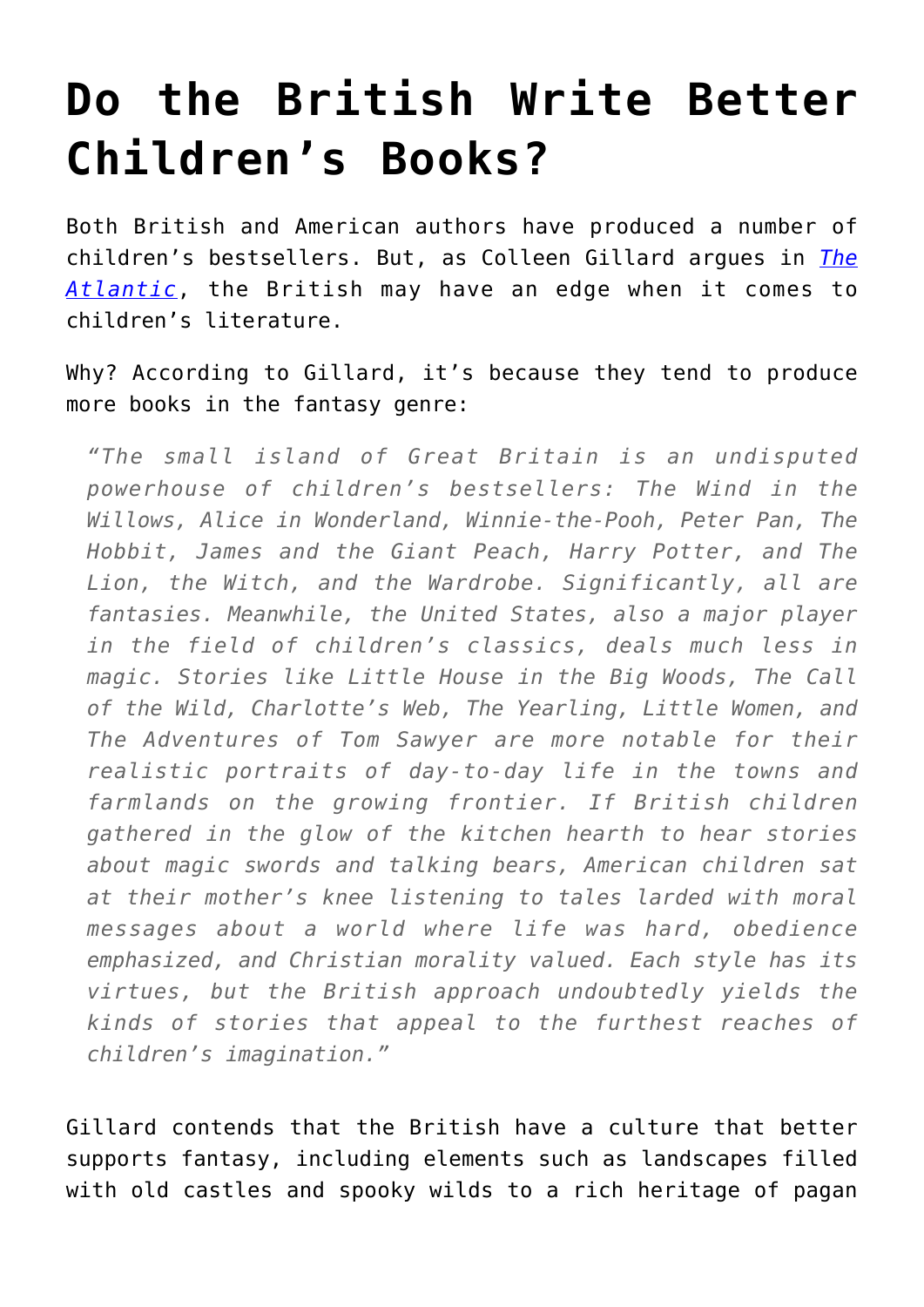## **[Do the British Write Better](https://intellectualtakeout.org/2016/01/do-the-british-write-better-childrens-books/) [Children's Books?](https://intellectualtakeout.org/2016/01/do-the-british-write-better-childrens-books/)**

Both British and American authors have produced a number of children's bestsellers. But, as Colleen Gillard argues in *[The](http://www.theatlantic.com/entertainment/archive/2016/01/why-the-british-tell-better-childrens-stories/422859/) [Atlantic](http://www.theatlantic.com/entertainment/archive/2016/01/why-the-british-tell-better-childrens-stories/422859/)*, the British may have an edge when it comes to children's literature.

Why? According to Gillard, it's because they tend to produce more books in the fantasy genre:

*"The small island of Great Britain is an undisputed powerhouse of children's bestsellers: The Wind in the Willows, Alice in Wonderland, Winnie-the-Pooh, Peter Pan, The Hobbit, James and the Giant Peach, Harry Potter, and The Lion, the Witch, and the Wardrobe. Significantly, all are fantasies. Meanwhile, the United States, also a major player in the field of children's classics, deals much less in magic. Stories like Little House in the Big Woods, The Call of the Wild, Charlotte's Web, The Yearling, Little Women, and The Adventures of Tom Sawyer are more notable for their realistic portraits of day-to-day life in the towns and farmlands on the growing frontier. If British children gathered in the glow of the kitchen hearth to hear stories about magic swords and talking bears, American children sat at their mother's knee listening to tales larded with moral messages about a world where life was hard, obedience emphasized, and Christian morality valued. Each style has its virtues, but the British approach undoubtedly yields the kinds of stories that appeal to the furthest reaches of children's imagination."*

Gillard contends that the British have a culture that better supports fantasy, including elements such as landscapes filled with old castles and spooky wilds to a rich heritage of pagan